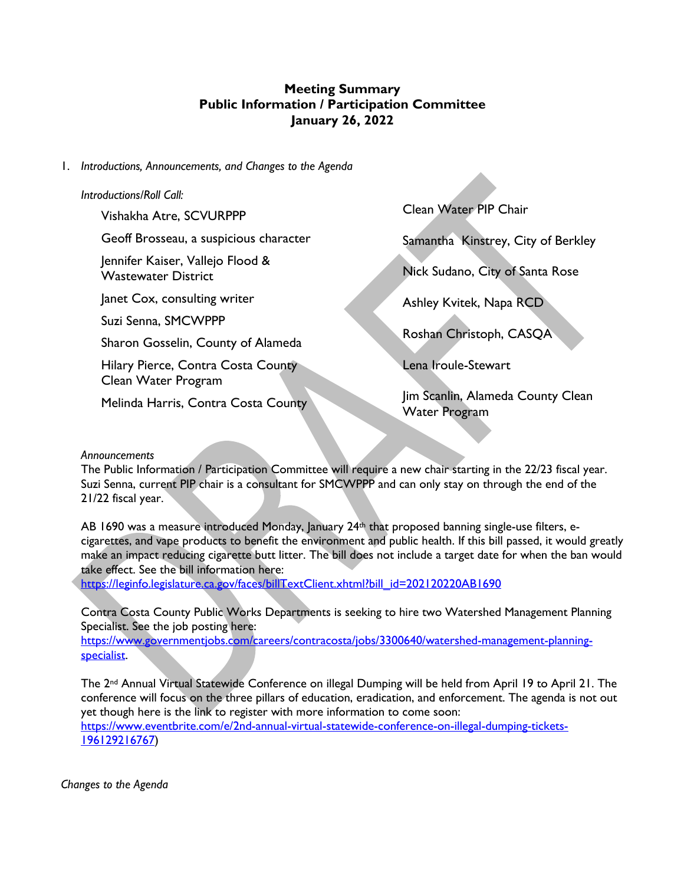# **Meeting Summary Public Information / Participation Committee January 26, 2022**

### 1. *Introductions, Announcements, and Changes to the Agenda*

### *Introductions/Roll Call:*

Vishakha Atre, SCVURPPP

Geoff Brosseau, a suspicious character

Jennifer Kaiser, Vallejo Flood & Wastewater District

Janet Cox, consulting writer

Suzi Senna, SMCWPPP

Sharon Gosselin, County of Alameda

Hilary Pierce, Contra Costa County Clean Water Program

Melinda Harris, Contra Costa County

Clean Water PIP Chair

Samantha Kinstrey, City of Berkley

Nick Sudano, City of Santa Rose

Ashley Kvitek, Napa RCD

Roshan Christoph, CASQA

Lena Iroule-Stewart

Jim Scanlin, Alameda County Clean Water Program

#### *Announcements*

The Public Information / Participation Committee will require a new chair starting in the 22/23 fiscal year. Suzi Senna, current PIP chair is a consultant for SMCWPPP and can only stay on through the end of the 21/22 fiscal year.

AB 1690 was a measure introduced Monday, January 24<sup>th</sup> that proposed banning single-use filters, ecigarettes, and vape products to benefit the environment and public health. If this bill passed, it would greatly make an impact reducing cigarette butt litter. The bill does not include a target date for when the ban would take effect. See the bill information here:

https://leginfo.legislature.ca.gov/faces/billTextClient.xhtml?bill\_id=202120220AB1690

Contra Costa County Public Works Departments is seeking to hire two Watershed Management Planning Specialist. See the job posting here:

https://www.governmentjobs.com/careers/contracosta/jobs/3300640/watershed-management-planningspecialist.

The 2nd Annual Virtual Statewide Conference on illegal Dumping will be held from April 19 to April 21. The conference will focus on the three pillars of education, eradication, and enforcement. The agenda is not out yet though here is the link to register with more information to come soon:

https://www.eventbrite.com/e/2nd-annual-virtual-statewide-conference-on-illegal-dumping-tickets-196129216767)

*Changes to the Agenda*